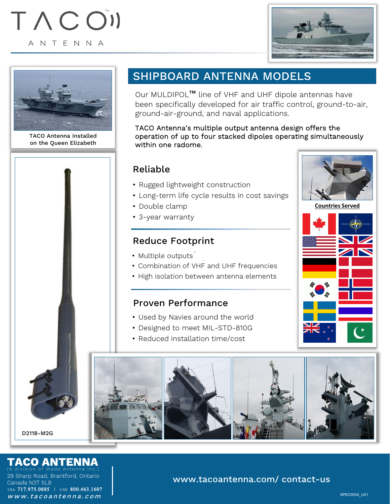# TACON ANTENNA





TACO Antenna Installed on the Queen Elizabeth

# SHIPBOARD ANTENNA MODELS

Our MULDIPOL™ line of VHF and UHF dipole antennas have been specifically developed for air traffic control, ground-to-air, ground-air-ground, and naval applications.

#### TACO Antenna's multiple output antenna design offers the operation of up to four stacked dipoles operating simultaneously within one radome.

# Reliable

- Rugged lightweight construction
- Long-term life cycle results in cost savings
- Double clamp
- 3-year warranty

# Reduce Footprint

- Multiple outputs
- Combination of VHF and UHF frequencies
- High isolation between antenna elements

# Proven Performance

• Used by Navies around the world





D2118-M2G

# **TACO ANTENNA**

X

29 Sharp Road, Brantford, Ontario Canada N3T 5L8 www.tacoantenna.com (A division of Wade Antenna Inc.) USA 717.975.0885 | CAN 800.463.1607

### www.tacoantenna.com/ contact-us